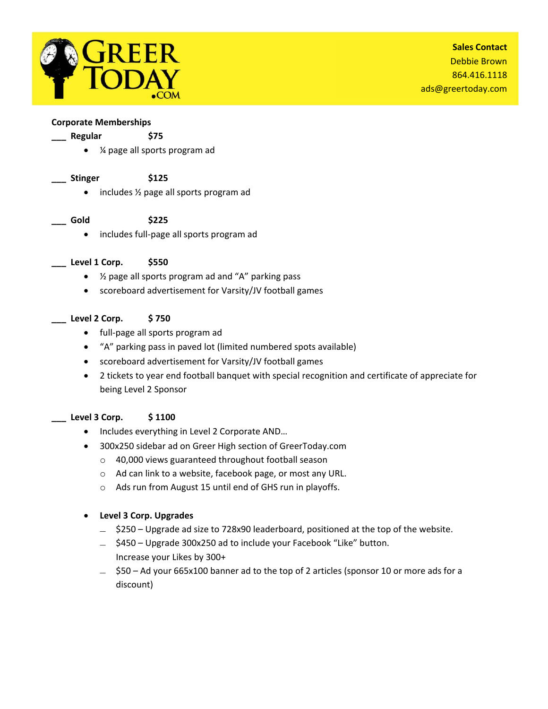

## **Corporate Memberships**

### **\_\_\_ Regular \$75**

- ¼ page all sports program ad
- **\_\_\_ Stinger \$125**

• includes 1/2 page all sports program ad

# **\_\_\_ Gold \$225**

● includes full-page all sports program ad

# **\_\_\_ Level 1 Corp. \$550**

- ½ page all sports program ad and "A" parking pass
- scoreboard advertisement for Varsity/JV football games

# **\_\_\_ Level 2 Corp. \$ 750**

- full-page all sports program ad
- "A" parking pass in paved lot (limited numbered spots available)
- scoreboard advertisement for Varsity/JV football games
- 2 tickets to year end football banquet with special recognition and certificate of appreciate for being Level 2 Sponsor

# **\_\_\_ Level 3 Corp. \$ 1100**

- Includes everything in Level 2 Corporate AND...
- 300x250 sidebar ad on Greer High section of GreerToday.com
	- o 40,000 views guaranteed throughout football season
	- o Ad can link to a website, facebook page, or most any URL.
	- o Ads run from August 15 until end of GHS run in playoffs.

# **Level 3 Corp. Upgrades**

- $\angle$  \$250 Upgrade ad size to 728x90 leaderboard, positioned at the top of the website.
- ̶ \$450 Upgrade 300x250 ad to include your Facebook "Like" button. Increase your Likes by 300+
- ̶ \$50 Ad your 665x100 banner ad to the top of 2 articles (sponsor 10 or more ads for a discount)